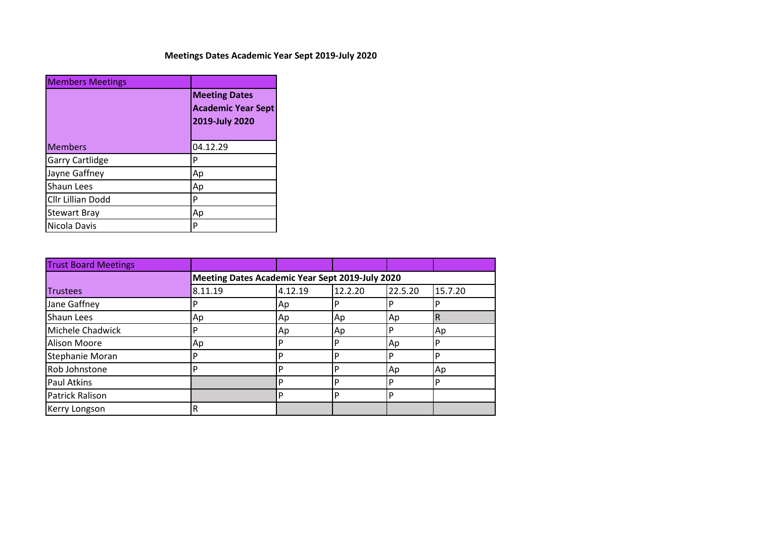## **Meetings Dates Academic Year Sept 2019-July 2020**

| <b>Members Meetings</b> |                                                                     |  |  |
|-------------------------|---------------------------------------------------------------------|--|--|
|                         | <b>Meeting Dates</b><br><b>Academic Year Sept</b><br>2019-July 2020 |  |  |
| <b>Members</b>          | 04.12.29                                                            |  |  |
| <b>Garry Cartlidge</b>  | P                                                                   |  |  |
| Jayne Gaffney           | Ap                                                                  |  |  |
| Shaun Lees              | Ap                                                                  |  |  |
| Cllr Lillian Dodd       | P                                                                   |  |  |
| <b>Stewart Bray</b>     | Ap                                                                  |  |  |
| Nicola Davis            | P                                                                   |  |  |

| <b>Trust Board Meetings</b> |         |                                                 |         |         |         |  |
|-----------------------------|---------|-------------------------------------------------|---------|---------|---------|--|
|                             |         | Meeting Dates Academic Year Sept 2019-July 2020 |         |         |         |  |
| <b>Trustees</b>             | 8.11.19 | 4.12.19                                         | 12.2.20 | 22.5.20 | 15.7.20 |  |
| Jane Gaffney                |         | Ap                                              | P       | .P      |         |  |
| <b>Shaun Lees</b>           | Ap      | Ap                                              | Ap      | Ap      | R       |  |
| Michele Chadwick            | D       | Ap                                              | Ap      | P       | Ap      |  |
| Alison Moore                | Ap      |                                                 | P       | Ap      |         |  |
| Stephanie Moran             | D       |                                                 | P       | P       |         |  |
| Rob Johnstone               | D       |                                                 | P       | Ap      | Ap      |  |
| Paul Atkins                 |         |                                                 | P       | P       | D       |  |
| <b>Patrick Ralison</b>      |         | ם                                               | P       | P       |         |  |
| Kerry Longson               | R       |                                                 |         |         |         |  |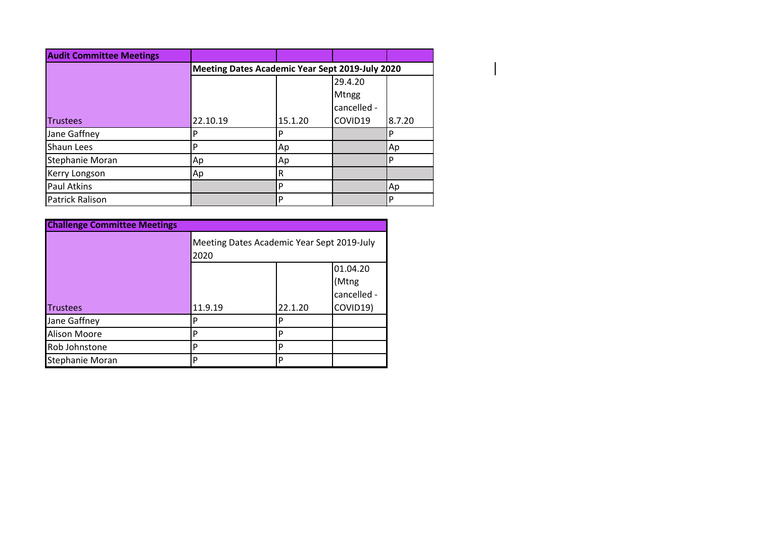| <b>Audit Committee Meetings</b> |          |                                                 |              |        |
|---------------------------------|----------|-------------------------------------------------|--------------|--------|
|                                 |          | Meeting Dates Academic Year Sept 2019-July 2020 |              |        |
|                                 |          |                                                 | 29.4.20      |        |
|                                 |          |                                                 | <b>Mtngg</b> |        |
|                                 |          |                                                 | cancelled -  |        |
| <b>Trustees</b>                 | 22.10.19 | 15.1.20                                         | COVID19      | 8.7.20 |
| Jane Gaffney                    |          | D                                               |              |        |
| <b>Shaun Lees</b>               | D        | Ap                                              |              | Ap     |
| Stephanie Moran                 | Ap       | Ap                                              |              |        |
| Kerry Longson                   | Ap       | R                                               |              |        |
| Paul Atkins                     |          |                                                 |              | Ap     |
| <b>Patrick Ralison</b>          |          | D                                               |              |        |

| <b>Challenge Committee Meetings</b> |                                                    |         |                                              |  |  |
|-------------------------------------|----------------------------------------------------|---------|----------------------------------------------|--|--|
|                                     | Meeting Dates Academic Year Sept 2019-July<br>2020 |         |                                              |  |  |
| <b>Trustees</b>                     | 11.9.19                                            | 22.1.20 | 01.04.20<br>(Mtng<br>cancelled -<br>COVID19) |  |  |
| Jane Gaffney                        | Р                                                  | P       |                                              |  |  |
| <b>Alison Moore</b>                 | P                                                  | D       |                                              |  |  |
| Rob Johnstone                       | P                                                  | D       |                                              |  |  |
| Stephanie Moran                     | D                                                  | P       |                                              |  |  |